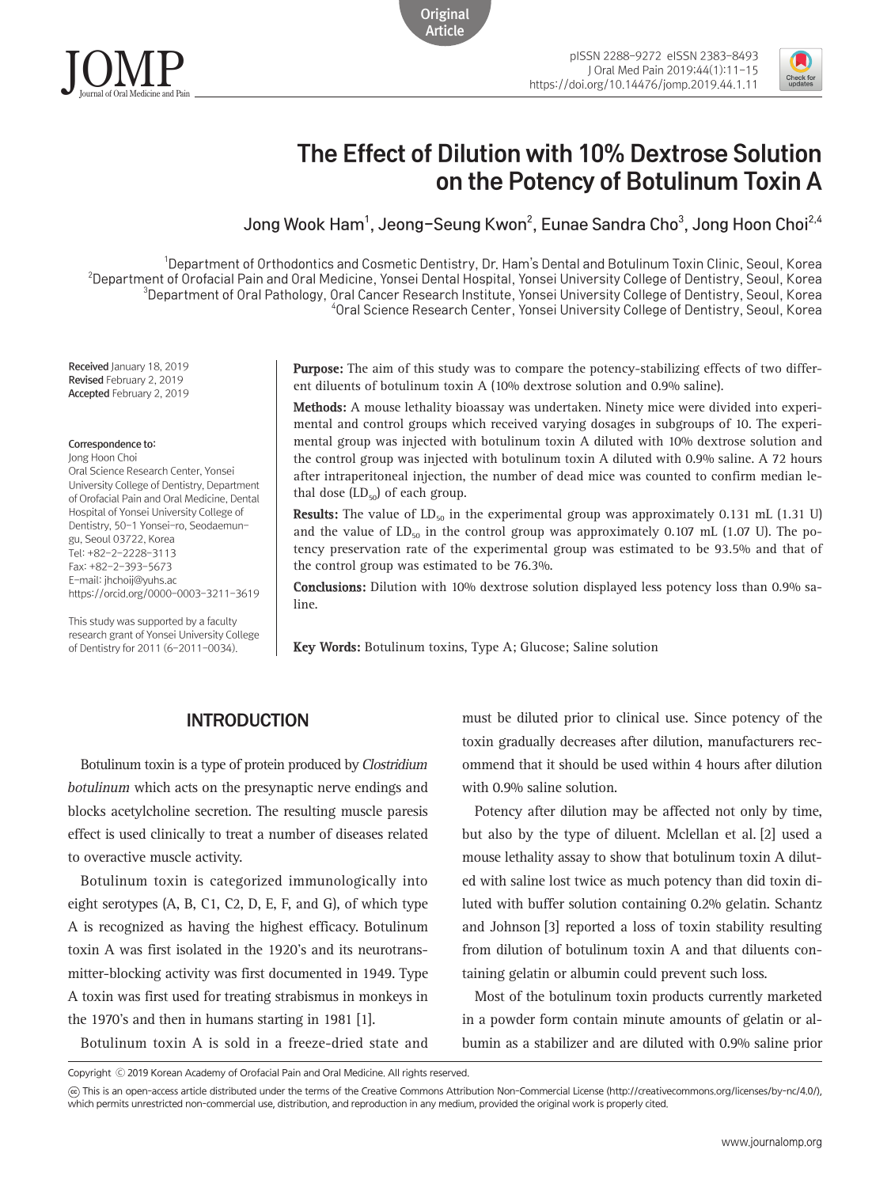



# The Effect of Dilution with 10% Dextrose Solution on the Potency of Botulinum Toxin A

Jong Wook Ham<sup>1</sup>, Jeong–Seung Kwon<sup>2</sup>, Eunae Sandra Cho<sup>3</sup>, Jong Hoon Choi<sup>2,4</sup>

 Department of Orthodontics and Cosmetic Dentistry, Dr. Ham's Dental and Botulinum Toxin Clinic, Seoul, Korea Department of Orofacial Pain and Oral Medicine, Yonsei Dental Hospital, Yonsei University College of Dentistry, Seoul, Korea Department of Oral Pathology, Oral Cancer Research Institute, Yonsei University College of Dentistry, Seoul, Korea Oral Science Research Center, Yonsei University College of Dentistry, Seoul, Korea

**Original** Article

Received January 18, 2019 Revised February 2, 2019 Accepted February 2, 2019

Correspondence to:

Jong Hoon Choi Oral Science Research Center, Yonsei University College of Dentistry, Department of Orofacial Pain and Oral Medicine, Dental Hospital of Yonsei University College of Dentistry, 50-1 Yonsei-ro, Seodaemungu, Seoul 03722, Korea Tel: +82-2-2228-3113 Fax: +82-2-393-5673 E-mail: [jhchoij@yuhs.ac](mailto:jhchoij@yuhs.ac) https://orcid.org/0000-0003-3211-3619

This study was supported by a faculty research grant of Yonsei University College of Dentistry for 2011 (6-2011-0034).

**Purpose:** The aim of this study was to compare the potency-stabilizing effects of two different diluents of botulinum toxin A (10% dextrose solution and 0.9% saline).

**Methods:** A mouse lethality bioassay was undertaken. Ninety mice were divided into experimental and control groups which received varying dosages in subgroups of 10. The experimental group was injected with botulinum toxin A diluted with 10% dextrose solution and the control group was injected with botulinum toxin A diluted with 0.9% saline. A 72 hours after intraperitoneal injection, the number of dead mice was counted to confirm median lethal dose  $(LD_{50})$  of each group.

**Results:** The value of  $LD_{50}$  in the experimental group was approximately 0.131 mL (1.31 U) and the value of  $LD_{50}$  in the control group was approximately 0.107 mL (1.07 U). The potency preservation rate of the experimental group was estimated to be 93.5% and that of the control group was estimated to be 76.3%.

**Conclusions:** Dilution with 10% dextrose solution displayed less potency loss than 0.9% saline.

**Key Words:** Botulinum toxins, Type A; Glucose; Saline solution

# INTRODUCTION

Botulinum toxin is a type of protein produced by Clostridium botulinum which acts on the presynaptic nerve endings and blocks acetylcholine secretion. The resulting muscle paresis effect is used clinically to treat a number of diseases related to overactive muscle activity.

Botulinum toxin is categorized immunologically into eight serotypes (A, B, C1, C2, D, E, F, and G), of which type A is recognized as having the highest efficacy. Botulinum toxin A was first isolated in the 1920's and its neurotransmitter-blocking activity was first documented in 1949. Type A toxin was first used for treating strabismus in monkeys in the 1970's and then in humans starting in 1981 [1].

Botulinum toxin A is sold in a freeze-dried state and

must be diluted prior to clinical use. Since potency of the toxin gradually decreases after dilution, manufacturers recommend that it should be used within 4 hours after dilution with 0.9% saline solution.

Potency after dilution may be affected not only by time, but also by the type of diluent. Mclellan et al. [2] used a mouse lethality assay to show that botulinum toxin A diluted with saline lost twice as much potency than did toxin diluted with buffer solution containing 0.2% gelatin. Schantz and Johnson [3] reported a loss of toxin stability resulting from dilution of botulinum toxin A and that diluents containing gelatin or albumin could prevent such loss.

Most of the botulinum toxin products currently marketed in a powder form contain minute amounts of gelatin or albumin as a stabilizer and are diluted with 0.9% saline prior

Copyright Ⓒ 2019 Korean Academy of Orofacial Pain and Oral Medicine. All rights reserved.

CC This is an open-access article distributed under the terms of the Creative Commons Attribution Non-Commercial License (http://creativecommons.org/licenses/by-nc/4.0/), which permits unrestricted non-commercial use, distribution, and reproduction in any medium, provided the original work is properly cited.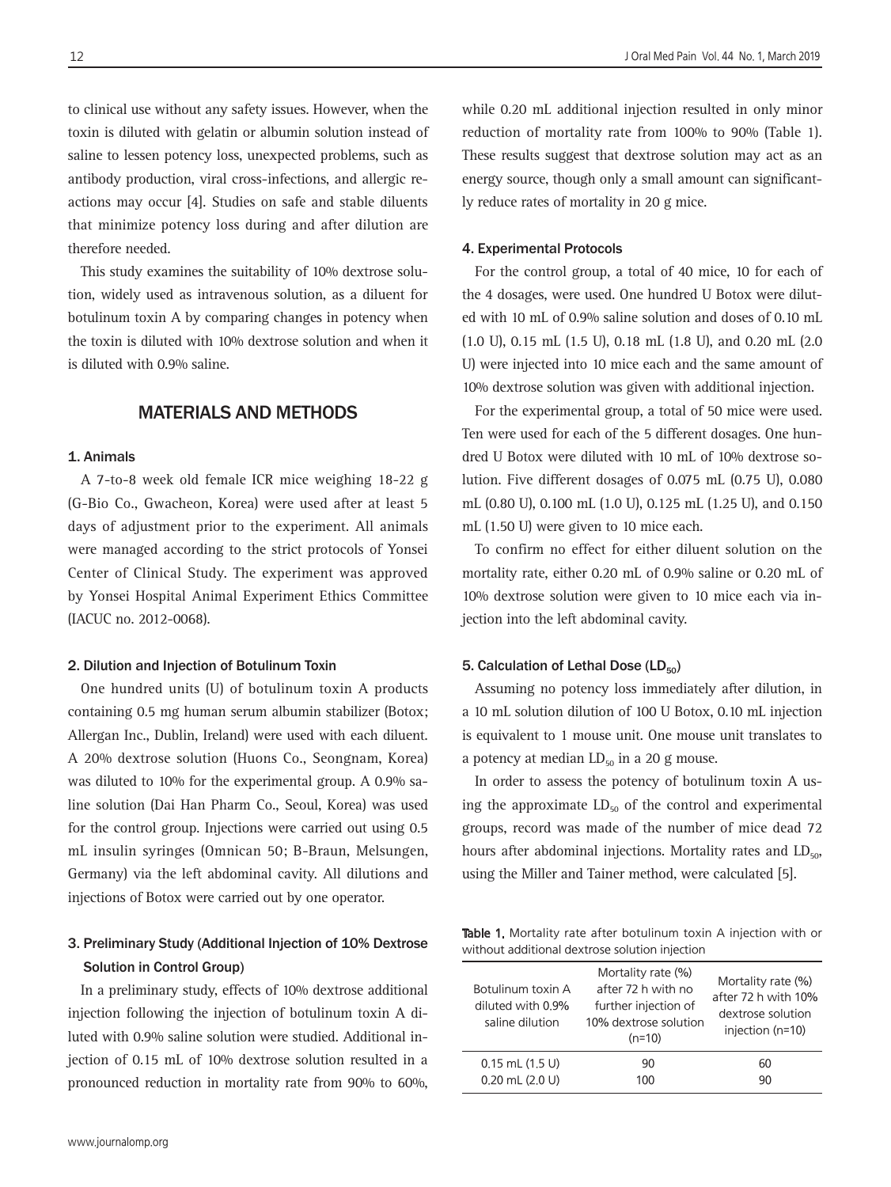to clinical use without any safety issues. However, when the toxin is diluted with gelatin or albumin solution instead of saline to lessen potency loss, unexpected problems, such as antibody production, viral cross-infections, and allergic reactions may occur [4]. Studies on safe and stable diluents that minimize potency loss during and after dilution are therefore needed.

This study examines the suitability of 10% dextrose solution, widely used as intravenous solution, as a diluent for botulinum toxin A by comparing changes in potency when the toxin is diluted with 10% dextrose solution and when it is diluted with 0.9% saline.

#### MATERIALS AND METHODS

#### 1. Animals

A 7-to-8 week old female ICR mice weighing 18-22 g (G-Bio Co., Gwacheon, Korea) were used after at least 5 days of adjustment prior to the experiment. All animals were managed according to the strict protocols of Yonsei Center of Clinical Study. The experiment was approved by Yonsei Hospital Animal Experiment Ethics Committee (IACUC no. 2012-0068).

#### 2. Dilution and Injection of Botulinum Toxin

One hundred units (U) of botulinum toxin A products containing 0.5 mg human serum albumin stabilizer (Botox; Allergan Inc., Dublin, Ireland) were used with each diluent. A 20% dextrose solution (Huons Co., Seongnam, Korea) was diluted to 10% for the experimental group. A 0.9% saline solution (Dai Han Pharm Co., Seoul, Korea) was used for the control group. Injections were carried out using 0.5 mL insulin syringes (Omnican 50; B-Braun, Melsungen, Germany) via the left abdominal cavity. All dilutions and injections of Botox were carried out by one operator.

## 3. Preliminary Study (Additional Injection of 10% Dextrose Solution in Control Group)

In a preliminary study, effects of 10% dextrose additional injection following the injection of botulinum toxin A diluted with 0.9% saline solution were studied. Additional injection of 0.15 mL of 10% dextrose solution resulted in a pronounced reduction in mortality rate from 90% to 60%,

while 0.20 mL additional injection resulted in only minor reduction of mortality rate from 100% to 90% (Table 1). These results suggest that dextrose solution may act as an energy source, though only a small amount can significantly reduce rates of mortality in 20 g mice.

#### 4. Experimental Protocols

For the control group, a total of 40 mice, 10 for each of the 4 dosages, were used. One hundred U Botox were diluted with 10 mL of 0.9% saline solution and doses of 0.10 mL (1.0 U), 0.15 mL (1.5 U), 0.18 mL (1.8 U), and 0.20 mL (2.0 U) were injected into 10 mice each and the same amount of 10% dextrose solution was given with additional injection.

For the experimental group, a total of 50 mice were used. Ten were used for each of the 5 different dosages. One hundred U Botox were diluted with 10 mL of 10% dextrose solution. Five different dosages of 0.075 mL (0.75 U), 0.080 mL (0.80 U), 0.100 mL (1.0 U), 0.125 mL (1.25 U), and 0.150 mL (1.50 U) were given to 10 mice each.

To confirm no effect for either diluent solution on the mortality rate, either 0.20 mL of 0.9% saline or 0.20 mL of 10% dextrose solution were given to 10 mice each via injection into the left abdominal cavity.

#### 5. Calculation of Lethal Dose (LD<sub>50</sub>)

Assuming no potency loss immediately after dilution, in a 10 mL solution dilution of 100 U Botox, 0.10 mL injection is equivalent to 1 mouse unit. One mouse unit translates to a potency at median  $LD_{50}$  in a 20 g mouse.

In order to assess the potency of botulinum toxin A using the approximate  $LD_{50}$  of the control and experimental groups, record was made of the number of mice dead 72 hours after abdominal injections. Mortality rates and  $LD_{50}$ , using the Miller and Tainer method, were calculated [5].

Table 1. Mortality rate after botulinum toxin A injection with or without additional dextrose solution injection

| Botulinum toxin A<br>diluted with 0.9%<br>saline dilution | Mortality rate (%)<br>after 72 h with no<br>further injection of<br>10% dextrose solution<br>$(n=10)$ | Mortality rate (%)<br>after 72 h with 10%<br>dextrose solution<br>injection (n=10) |
|-----------------------------------------------------------|-------------------------------------------------------------------------------------------------------|------------------------------------------------------------------------------------|
| $0.15$ mL $(1.5 \text{ U})$                               | 90                                                                                                    | 60                                                                                 |
| $0.20$ mL $(2.0$ U)                                       | 100                                                                                                   | 90                                                                                 |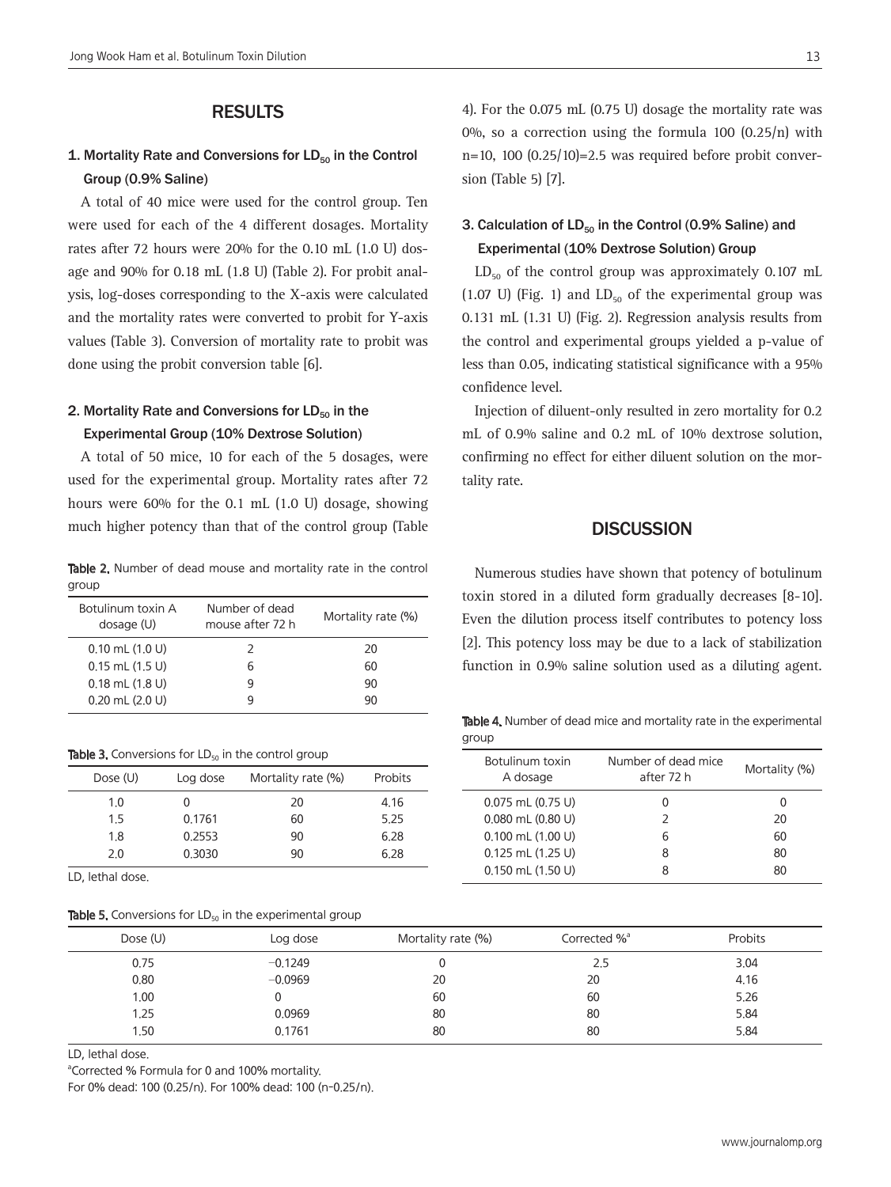### RESULTS

### 1. Mortality Rate and Conversions for  $LD_{50}$  in the Control Group (0.9% Saline)

A total of 40 mice were used for the control group. Ten were used for each of the 4 different dosages. Mortality rates after 72 hours were 20% for the 0.10 mL (1.0 U) dosage and 90% for 0.18 mL (1.8 U) (Table 2). For probit analysis, log-doses corresponding to the X-axis were calculated and the mortality rates were converted to probit for Y-axis values (Table 3). Conversion of mortality rate to probit was done using the probit conversion table [6].

### 2. Mortality Rate and Conversions for  $LD_{50}$  in the Experimental Group (10% Dextrose Solution)

A total of 50 mice, 10 for each of the 5 dosages, were used for the experimental group. Mortality rates after 72 hours were 60% for the 0.1 mL (1.0 U) dosage, showing much higher potency than that of the control group (Table

Table 2. Number of dead mouse and mortality rate in the control group

| Botulinum toxin A<br>dosage (U) | Number of dead<br>mouse after 72 h | Mortality rate (%) |
|---------------------------------|------------------------------------|--------------------|
| $0.10$ mL $(1.0 U)$             | 2                                  | 20                 |
| $0.15$ mL $(1.5 \text{ U})$     | h                                  | 60                 |
| $0.18$ mL $(1.8$ U)             |                                    | 90                 |
| $0.20$ mL $(2.0 U)$             |                                    | 90                 |

| Dose (U) | Log dose | Mortality rate (%) | Probits |
|----------|----------|--------------------|---------|
| 1.0      |          | 20                 | 4.16    |
| 1.5      | 0.1761   | 60                 | 5.25    |
| 1.8      | 0.2553   | 90                 | 6.28    |
| 2.0      | 0.3030   | 90                 | 6.28    |

LD, lethal dose.

**Table 5.** Conversions for  $LD_{50}$  in the experimental group

4). For the 0.075 mL (0.75 U) dosage the mortality rate was 0%, so a correction using the formula 100 (0.25/n) with  $n=10$ , 100  $(0.25/10)=2.5$  was required before probit conversion (Table 5) [7].

# 3. Calculation of  $LD_{50}$  in the Control (0.9% Saline) and Experimental (10% Dextrose Solution) Group

 $LD_{50}$  of the control group was approximately 0.107 mL (1.07 U) (Fig. 1) and  $LD_{50}$  of the experimental group was 0.131 mL (1.31 U) (Fig. 2). Regression analysis results from the control and experimental groups yielded a p-value of less than 0.05, indicating statistical significance with a 95% confidence level.

Injection of diluent-only resulted in zero mortality for 0.2 mL of 0.9% saline and 0.2 mL of 10% dextrose solution, confirming no effect for either diluent solution on the mortality rate.

#### **DISCUSSION**

Numerous studies have shown that potency of botulinum toxin stored in a diluted form gradually decreases [8-10]. Even the dilution process itself contributes to potency loss [2]. This potency loss may be due to a lack of stabilization function in 0.9% saline solution used as a diluting agent.

Table 4. Number of dead mice and mortality rate in the experimental group

| Botulinum toxin<br>A dosage   | Number of dead mice<br>after 72 h | Mortality (%) |
|-------------------------------|-----------------------------------|---------------|
| $0.075$ mL $(0.75 \text{ U})$ | 0                                 |               |
| $0.080$ mL $(0.80$ U)         | $\mathcal{P}$                     | 20            |
| $0.100$ mL $(1.00$ U)         | 6                                 | 60            |
| $0.125$ mL $(1.25 \text{ U})$ | 8                                 | 80            |
| $0.150$ mL $(1.50$ U)         | ጸ                                 | 80            |

| Dose (U) | Log dose  | Mortality rate (%) | Corrected % <sup>a</sup> | Probits |
|----------|-----------|--------------------|--------------------------|---------|
| 0.75     | $-0.1249$ |                    | 2.5                      | 3.04    |
| 0.80     | $-0.0969$ | 20                 | 20                       | 4.16    |
| 1.00     |           | 60                 | 60                       | 5.26    |
| 1.25     | 0.0969    | 80                 | 80                       | 5.84    |
| 1.50     | 0.1761    | 80                 | 80                       | 5,84    |

LD, lethal dose.

a Corrected % Formula for 0 and 100% mortality.

For 0% dead: 100 (0.25/n). For 100% dead: 100 (n-0.25/n).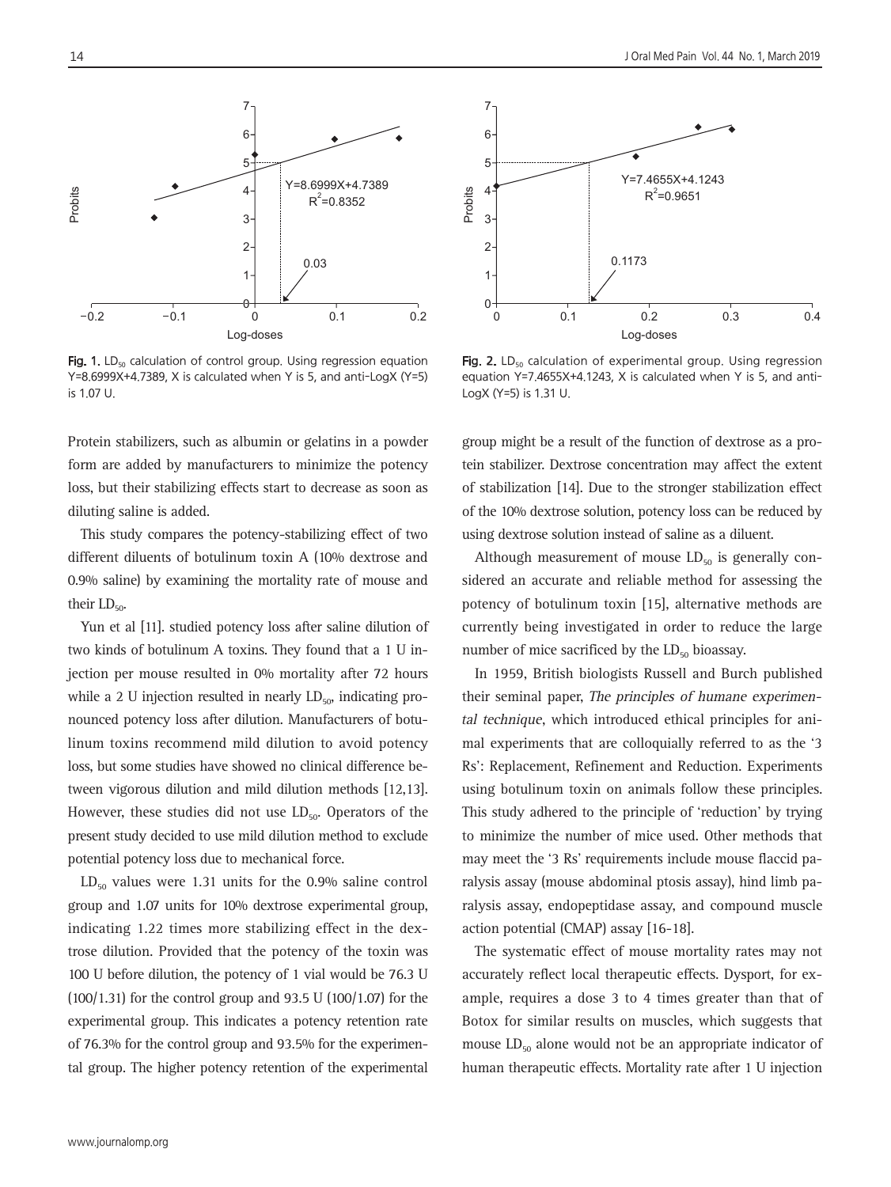

Fig. 1.  $LD_{50}$  calculation of control group. Using regression equation Y=8.6999X+4.7389, X is calculated when Y is 5, and anti-LogX (Y=5) is 1.07 U.

Protein stabilizers, such as albumin or gelatins in a powder form are added by manufacturers to minimize the potency loss, but their stabilizing effects start to decrease as soon as diluting saline is added.

This study compares the potency-stabilizing effect of two different diluents of botulinum toxin A (10% dextrose and 0.9% saline) by examining the mortality rate of mouse and their  $LD_{50}$ .

Yun et al [11]. studied potency loss after saline dilution of two kinds of botulinum A toxins. They found that a 1 U injection per mouse resulted in 0% mortality after 72 hours while a 2 U injection resulted in nearly  $LD_{50}$ , indicating pronounced potency loss after dilution. Manufacturers of botulinum toxins recommend mild dilution to avoid potency loss, but some studies have showed no clinical difference between vigorous dilution and mild dilution methods [12,13]. However, these studies did not use  $LD<sub>50</sub>$ . Operators of the present study decided to use mild dilution method to exclude potential potency loss due to mechanical force.

 $LD_{50}$  values were 1.31 units for the 0.9% saline control group and 1.07 units for 10% dextrose experimental group, indicating 1.22 times more stabilizing effect in the dextrose dilution. Provided that the potency of the toxin was 100 U before dilution, the potency of 1 vial would be 76.3 U (100/1.31) for the control group and 93.5 U (100/1.07) for the experimental group. This indicates a potency retention rate of 76.3% for the control group and 93.5% for the experimental group. The higher potency retention of the experimental



Fig. 2. LD<sub>50</sub> calculation of experimental group. Using regression equation Y=7.4655X+4.1243, X is calculated when Y is 5, and anti-LogX (Y=5) is 1.31 U.

group might be a result of the function of dextrose as a protein stabilizer. Dextrose concentration may affect the extent of stabilization [14]. Due to the stronger stabilization effect of the 10% dextrose solution, potency loss can be reduced by using dextrose solution instead of saline as a diluent.

Although measurement of mouse  $LD_{50}$  is generally considered an accurate and reliable method for assessing the potency of botulinum toxin [15], alternative methods are currently being investigated in order to reduce the large number of mice sacrificed by the  $LD_{50}$  bioassay.

In 1959, British biologists Russell and Burch published their seminal paper, The principles of humane experimental technique, which introduced ethical principles for animal experiments that are colloquially referred to as the '3 Rs': Replacement, Refinement and Reduction. Experiments using botulinum toxin on animals follow these principles. This study adhered to the principle of 'reduction' by trying to minimize the number of mice used. Other methods that may meet the '3 Rs' requirements include mouse flaccid paralysis assay (mouse abdominal ptosis assay), hind limb paralysis assay, endopeptidase assay, and compound muscle action potential (CMAP) assay [16-18].

The systematic effect of mouse mortality rates may not accurately reflect local therapeutic effects. Dysport, for example, requires a dose 3 to 4 times greater than that of Botox for similar results on muscles, which suggests that mouse  $LD_{50}$  alone would not be an appropriate indicator of human therapeutic effects. Mortality rate after 1 U injection